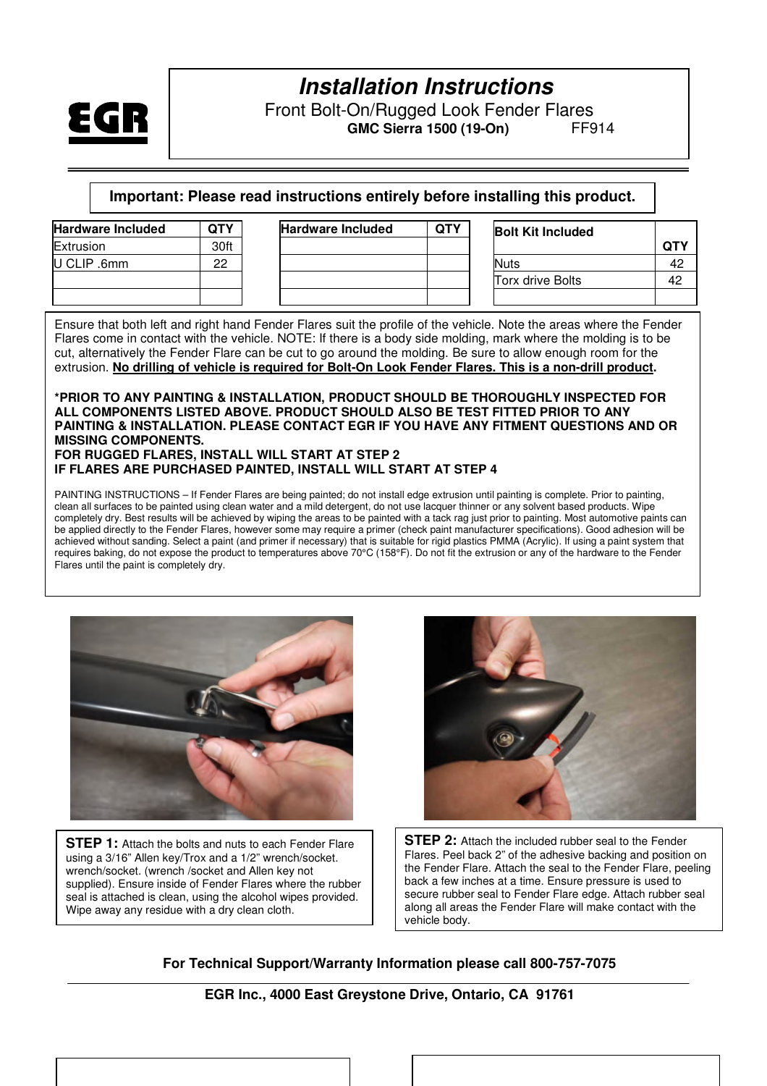

Front Bolt-On/Rugged Look Fender Flares  **GMC Sierra 1500 (19-On)** FF914

**Important: Please read instructions entirely before installing this product.** 

| <b>Hardware Included</b> | <b>QTY</b> | <b>Hardware Included</b> | <b>QTY</b> | <b>Bolt Kit Included</b> |            |
|--------------------------|------------|--------------------------|------------|--------------------------|------------|
| Extrusion                | 30ft       |                          |            |                          | <b>QTY</b> |
| U CLIP .6mm              | 22         |                          |            | <b>Nuts</b>              | 42         |
|                          |            |                          |            | <b>Torx drive Bolts</b>  | 42         |
|                          |            |                          |            |                          |            |

Ensure that both left and right hand Fender Flares suit the profile of the vehicle. Note the areas where the Fender Flares come in contact with the vehicle. NOTE: If there is a body side molding, mark where the molding is to be cut, alternatively the Fender Flare can be cut to go around the molding. Be sure to allow enough room for the extrusion. **No drilling of vehicle is required for Bolt-On Look Fender Flares. This is a non-drill product.** 

#### **\*PRIOR TO ANY PAINTING & INSTALLATION, PRODUCT SHOULD BE THOROUGHLY INSPECTED FOR ALL COMPONENTS LISTED ABOVE. PRODUCT SHOULD ALSO BE TEST FITTED PRIOR TO ANY PAINTING & INSTALLATION. PLEASE CONTACT EGR IF YOU HAVE ANY FITMENT QUESTIONS AND OR MISSING COMPONENTS. FOR RUGGED FLARES, INSTALL WILL START AT STEP 2**

#### **IF FLARES ARE PURCHASED PAINTED, INSTALL WILL START AT STEP 4**

PAINTING INSTRUCTIONS – If Fender Flares are being painted; do not install edge extrusion until painting is complete. Prior to painting, clean all surfaces to be painted using clean water and a mild detergent, do not use lacquer thinner or any solvent based products. Wipe completely dry. Best results will be achieved by wiping the areas to be painted with a tack rag just prior to painting. Most automotive paints can be applied directly to the Fender Flares, however some may require a primer (check paint manufacturer specifications). Good adhesion will be achieved without sanding. Select a paint (and primer if necessary) that is suitable for rigid plastics PMMA (Acrylic). If using a paint system that requires baking, do not expose the product to temperatures above 70°C (158°F). Do not fit the extrusion or any of the hardware to the Fender Flares until the paint is completely dry.



**STEP 1:** Attach the bolts and nuts to each Fender Flare using a 3/16" Allen key/Trox and a 1/2" wrench/socket. wrench/socket. (wrench /socket and Allen key not supplied). Ensure inside of Fender Flares where the rubber seal is attached is clean, using the alcohol wipes provided. Wipe away any residue with a dry clean cloth.



**STEP 2:** Attach the included rubber seal to the Fender Flares. Peel back 2" of the adhesive backing and position on the Fender Flare. Attach the seal to the Fender Flare, peeling back a few inches at a time. Ensure pressure is used to secure rubber seal to Fender Flare edge. Attach rubber seal along all areas the Fender Flare will make contact with the vehicle body.

#### **For Technical Support/Warranty Information please call 800-757-7075**

**EGR Inc., 4000 East Greystone Drive, Ontario, CA 91761**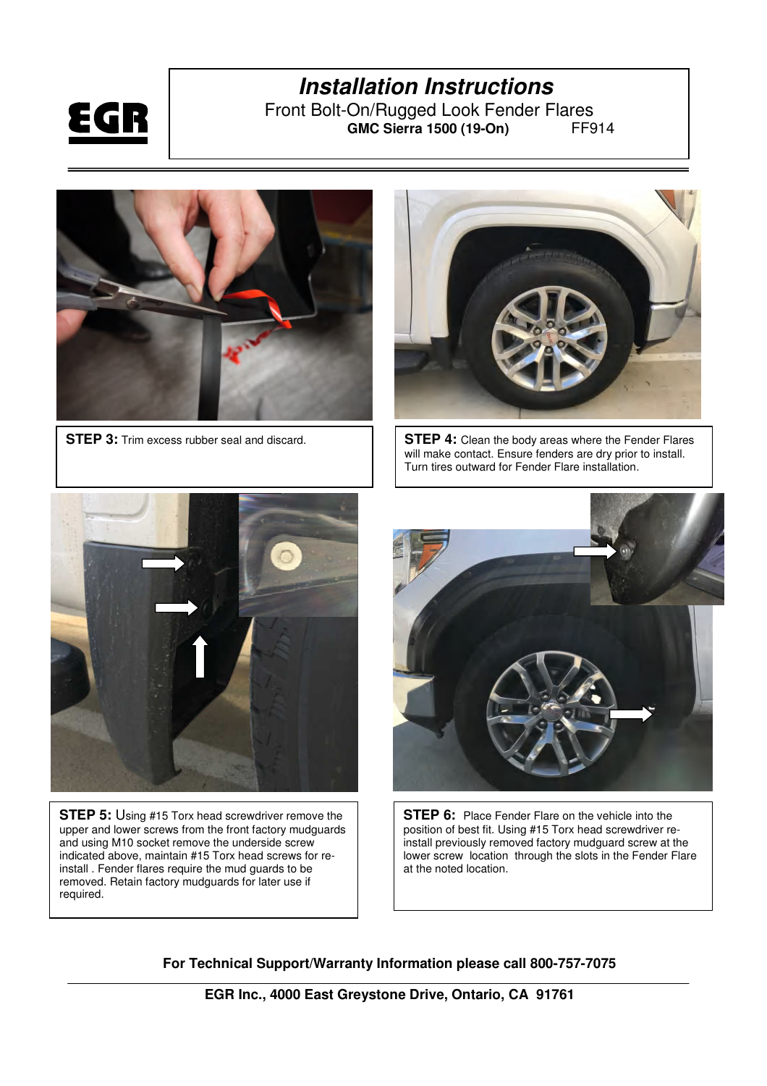

Front Bolt-On/Rugged Look Fender Flares<br>GMC Sierra 1500 (19-On) FF914 **GMC Sierra 1500 (19-On)** 



**STEP 3:** Trim excess rubber seal and discard.



**STEP 4:** Clean the body areas where the Fender Flares will make contact. Ensure fenders are dry prior to install. Turn tires outward for Fender Flare installation.



**STEP 5:** Using #15 Torx head screwdriver remove the upper and lower screws from the front factory mudguards and using M10 socket remove the underside screw indicated above, maintain #15 Torx head screws for reinstall . Fender flares require the mud guards to be removed. Retain factory mudguards for later use if required.



**STEP 6:** Place Fender Flare on the vehicle into the position of best fit. Using #15 Torx head screwdriver reinstall previously removed factory mudguard screw at the lower screw location through the slots in the Fender Flare at the noted location.

**For Technical Support/Warranty Information please call 800-757-7075** 

**EGR Inc., 4000 East Greystone Drive, Ontario, CA 91761**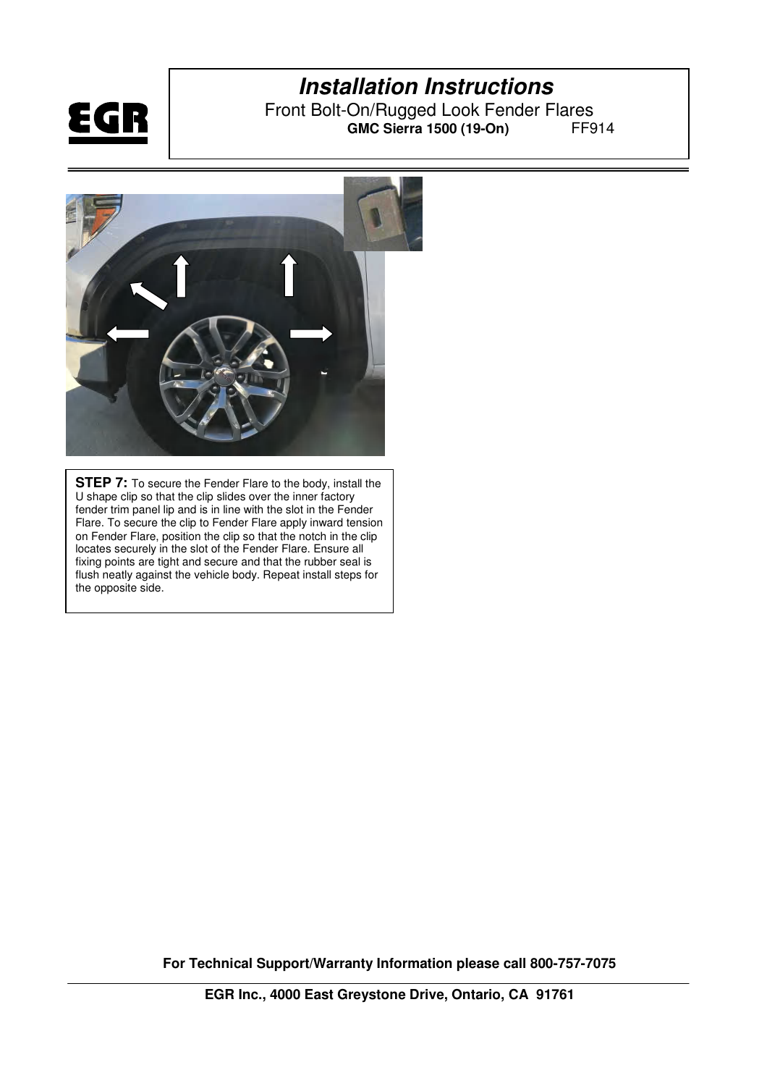

Front Bolt-On/Rugged Look Fender Flares<br>GMC Sierra 1500 (19-On) FF914 **GMC Sierra 1500 (19-On)** 



**STEP 7:** To secure the Fender Flare to the body, install the U shape clip so that the clip slides over the inner factory fender trim panel lip and is in line with the slot in the Fender Flare. To secure the clip to Fender Flare apply inward tension on Fender Flare, position the clip so that the notch in the clip locates securely in the slot of the Fender Flare. Ensure all fixing points are tight and secure and that the rubber seal is flush neatly against the vehicle body. Repeat install steps for the opposite side.

**For Technical Support/Warranty Information please call 800-757-7075**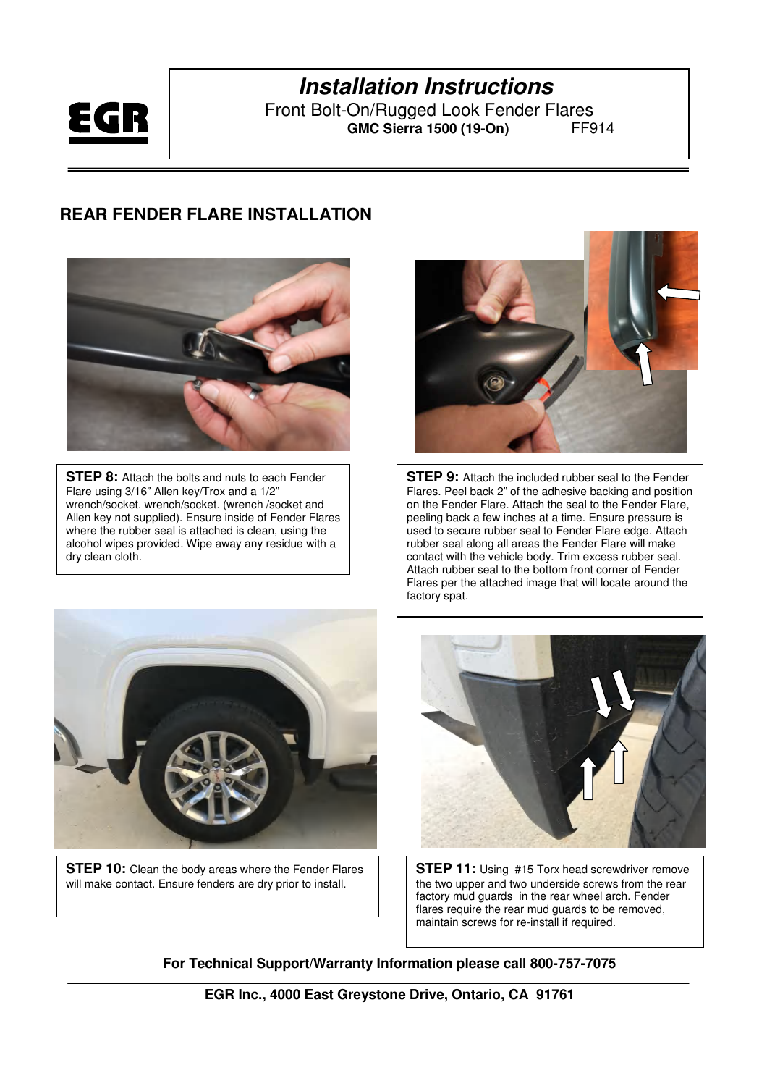

Front Bolt-On/Rugged Look Fender Flares<br>GMC Sierra 1500 (19-On) FF914 **GMC Sierra 1500 (19-On)** 

#### **REAR FENDER FLARE INSTALLATION**



**STEP 8:** Attach the bolts and nuts to each Fender Flare using 3/16" Allen key/Trox and a 1/2" wrench/socket. wrench/socket. (wrench /socket and Allen key not supplied). Ensure inside of Fender Flares where the rubber seal is attached is clean, using the alcohol wipes provided. Wipe away any residue with a dry clean cloth.



**STEP 9:** Attach the included rubber seal to the Fender Flares. Peel back 2" of the adhesive backing and position on the Fender Flare. Attach the seal to the Fender Flare, peeling back a few inches at a time. Ensure pressure is used to secure rubber seal to Fender Flare edge. Attach rubber seal along all areas the Fender Flare will make contact with the vehicle body. Trim excess rubber seal. Attach rubber seal to the bottom front corner of Fender Flares per the attached image that will locate around the factory spat.



**STEP 10:** Clean the body areas where the Fender Flares will make contact. Ensure fenders are dry prior to install.



**STEP 11:** Using #15 Torx head screwdriver remove the two upper and two underside screws from the rear factory mud guards in the rear wheel arch. Fender flares require the rear mud guards to be removed, maintain screws for re-install if required.

**For Technical Support/Warranty Information please call 800-757-7075** 

**EGR Inc., 4000 East Greystone Drive, Ontario, CA 91761**